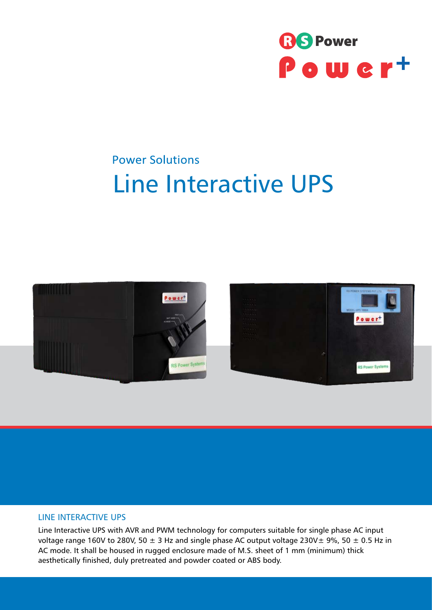

## **Power Solutions** Line Interactive UPS



## LINE INTERACTIVE UPS

Line Interactive UPS with AVR and PWM technology for computers suitable for single phase AC input voltage range 160V to 280V, 50  $\pm$  3 Hz and single phase AC output voltage 230V $\pm$  9%, 50  $\pm$  0.5 Hz in AC mode. It shall be housed in rugged enclosure made of M.S. sheet of 1 mm (minimum) thick aesthetically finished, duly pretreated and powder coated or ABS body.